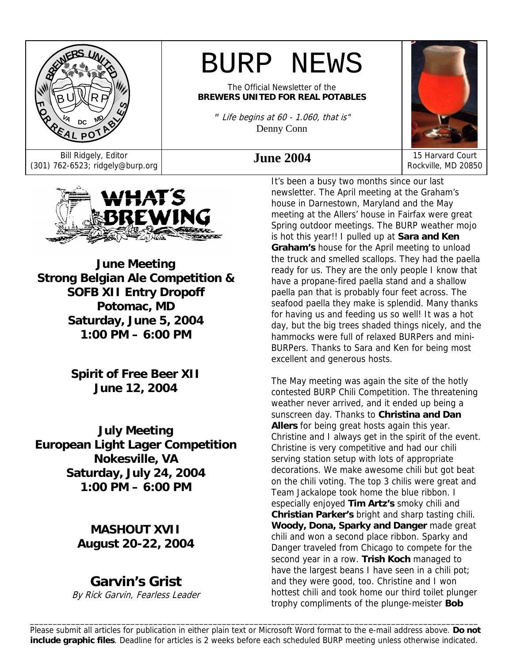

# BURP NEWS

The Official Newsletter of the **BREWERS UNITED FOR REAL POTABLES**

*"* Life begins at 60 - 1.060, that is" Denny Conn



Bill Ridgely, Editor **June 2004** 15 Harvard Court (301) 762-6523; ridgely@burp.org **June 2004** 15 Harvard Court Rockville, MD 20850



**June Meeting Strong Belgian Ale Competition & SOFB XII Entry Dropoff Potomac, MD Saturday, June 5, 2004 1:00 PM – 6:00 PM**

> **Spirit of Free Beer XII June 12, 2004**

**July Meeting European Light Lager Competition Nokesville, VA Saturday, July 24, 2004 1:00 PM – 6:00 PM** 

> **MASHOUT XVII August 20-22, 2004**

## **Garvin's Grist**

By Rick Garvin, Fearless Leader

It's been a busy two months since our last newsletter. The April meeting at the Graham's house in Darnestown, Maryland and the May meeting at the Allers' house in Fairfax were great Spring outdoor meetings. The BURP weather mojo is hot this year!! I pulled up at **Sara and Ken Graham's** house for the April meeting to unload the truck and smelled scallops. They had the paella ready for us. They are the only people I know that have a propane-fired paella stand and a shallow paella pan that is probably four feet across. The seafood paella they make is splendid. Many thanks for having us and feeding us so well! It was a hot day, but the big trees shaded things nicely, and the hammocks were full of relaxed BURPers and mini-BURPers. Thanks to Sara and Ken for being most excellent and generous hosts.

The May meeting was again the site of the hotly contested BURP Chili Competition. The threatening weather never arrived, and it ended up being a sunscreen day. Thanks to **Christina and Dan Allers** for being great hosts again this year. Christine and I always get in the spirit of the event. Christine is very competitive and had our chili serving station setup with lots of appropriate decorations. We make awesome chili but got beat on the chili voting. The top 3 chilis were great and Team Jackalope took home the blue ribbon. I especially enjoyed **Tim Artz's** smoky chili and **Christian Parker's** bright and sharp tasting chili. **Woody, Dona, Sparky and Danger** made great chili and won a second place ribbon. Sparky and Danger traveled from Chicago to compete for the second year in a row. **Trish Koch** managed to have the largest beans I have seen in a chili pot; and they were good, too. Christine and I won hottest chili and took home our third toilet plunger trophy compliments of the plunge-meister **Bob** 

\_\_\_\_\_\_\_\_\_\_\_\_\_\_\_\_\_\_\_\_\_\_\_\_\_\_\_\_\_\_\_\_\_\_\_\_\_\_\_\_\_\_\_\_\_\_\_\_\_\_\_\_\_\_\_\_\_\_\_\_\_\_\_\_\_\_\_\_\_\_\_\_\_\_\_\_\_\_\_\_\_\_\_\_\_\_\_\_\_\_\_\_\_\_\_\_\_\_ Please submit all articles for publication in either plain text or Microsoft Word format to the e-mail address above. **Do not include graphic files**. Deadline for articles is 2 weeks before each scheduled BURP meeting unless otherwise indicated.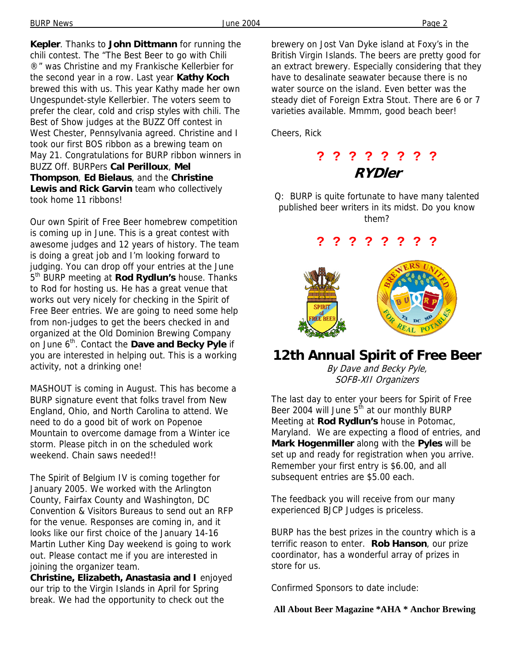BURP News June 2004 Page 2

**Kepler**. Thanks to **John Dittmann** for running the chili contest. The "The Best Beer to go with Chili ®" was Christine and my Frankische Kellerbier for the second year in a row. Last year **Kathy Koch** brewed this with us. This year Kathy made her own Ungespundet-style Kellerbier. The voters seem to prefer the clear, cold and crisp styles with chili. The Best of Show judges at the BUZZ Off contest in West Chester, Pennsylvania agreed. Christine and I took our first BOS ribbon as a brewing team on May 21. Congratulations for BURP ribbon winners in BUZZ Off. BURPers **Cal Perilloux**, **Mel Thompson**, **Ed Bielaus**, and the **Christine Lewis and Rick Garvin** team who collectively took home 11 ribbons!

Our own Spirit of Free Beer homebrew competition is coming up in June. This is a great contest with awesome judges and 12 years of history. The team is doing a great job and I'm looking forward to judging. You can drop off your entries at the June 5<sup>th</sup> BURP meeting at **Rod Rydlun's** house. Thanks to Rod for hosting us. He has a great venue that works out very nicely for checking in the Spirit of Free Beer entries. We are going to need some help from non-judges to get the beers checked in and organized at the Old Dominion Brewing Company on June 6th. Contact the **Dave and Becky Pyle** if you are interested in helping out. This is a working activity, not a drinking one!

MASHOUT is coming in August. This has become a BURP signature event that folks travel from New England, Ohio, and North Carolina to attend. We need to do a good bit of work on Popenoe Mountain to overcome damage from a Winter ice storm. Please pitch in on the scheduled work weekend. Chain saws needed!!

The Spirit of Belgium IV is coming together for January 2005. We worked with the Arlington County, Fairfax County and Washington, DC Convention & Visitors Bureaus to send out an RFP for the venue. Responses are coming in, and it looks like our first choice of the January 14-16 Martin Luther King Day weekend is going to work out. Please contact me if you are interested in joining the organizer team.

**Christine, Elizabeth, Anastasia and I** enjoyed our trip to the Virgin Islands in April for Spring break. We had the opportunity to check out the

brewery on Jost Van Dyke island at Foxy's in the British Virgin Islands. The beers are pretty good for an extract brewery. Especially considering that they have to desalinate seawater because there is no water source on the island. Even better was the steady diet of Foreign Extra Stout. There are 6 or 7 varieties available. Mmmm, good beach beer!

Cheers, Rick

**? ? ? ? ? ? ? ? RYDler** 

Q: BURP is quite fortunate to have many talented published beer writers in its midst. Do you know them?

### **? ? ? ? ? ? ? ?**



### **12th Annual Spirit of Free Beer**

By Dave and Becky Pyle, SOFB-XII Organizers

The last day to enter your beers for Spirit of Free Beer 2004 will June 5<sup>th</sup> at our monthly BURP Meeting at **Rod Rydlun's** house in Potomac, Maryland. We are expecting a flood of entries, and **Mark Hogenmiller** along with the **Pyles** will be set up and ready for registration when you arrive. Remember your first entry is \$6.00, and all subsequent entries are \$5.00 each.

The feedback you will receive from our many experienced BJCP Judges is priceless.

BURP has the best prizes in the country which is a terrific reason to enter. **Rob Hanson**, our prize coordinator, has a wonderful array of prizes in store for us.

Confirmed Sponsors to date include:

 **All About Beer Magazine \*AHA \* Anchor Brewing**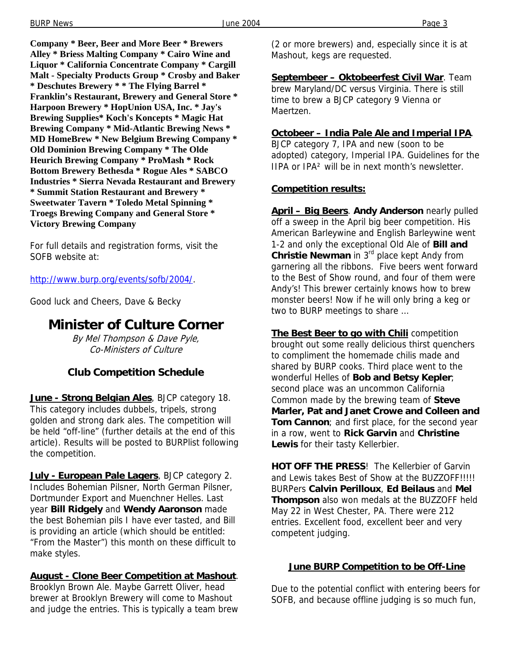**Company \* Beer, Beer and More Beer \* Brewers Alley \* Briess Malting Company \* Cairo Wine and Liquor \* California Concentrate Company \* Cargill Malt - Specialty Products Group \* Crosby and Baker \* Deschutes Brewery \* \* The Flying Barrel \* Franklin's Restaurant, Brewery and General Store \* Harpoon Brewery \* HopUnion USA, Inc. \* Jay's Brewing Supplies\* Koch's Koncepts \* Magic Hat Brewing Company \* Mid-Atlantic Brewing News \* MD HomeBrew \* New Belgium Brewing Company \* Old Dominion Brewing Company \* The Olde Heurich Brewing Company \* ProMash \* Rock Bottom Brewery Bethesda \* Rogue Ales \* SABCO Industries \* Sierra Nevada Restaurant and Brewery \* Summit Station Restaurant and Brewery \* Sweetwater Tavern \* Toledo Metal Spinning \* Troegs Brewing Company and General Store \*** 

**Victory Brewing Company** 

For full details and registration forms, visit the SOFB website at:

http://www.burp.org/events/sofb/2004/.

Good luck and Cheers, Dave & Becky

### **Minister of Culture Corner**

By Mel Thompson & Dave Pyle, Co-Ministers of Culture

#### **Club Competition Schedule**

**June - Strong Belgian Ales**, BJCP category 18. This category includes dubbels, tripels, strong golden and strong dark ales. The competition will be held "off-line" (further details at the end of this article). Results will be posted to BURPlist following the competition.

**July - European Pale Lagers**, BJCP category 2. Includes Bohemian Pilsner, North German Pilsner, Dortmunder Export and Muenchner Helles. Last year **Bill Ridgely** and **Wendy Aaronson** made the best Bohemian pils I have ever tasted, and Bill is providing an article (which should be entitled: "From the Master") this month on these difficult to make styles.

#### **August - Clone Beer Competition at Mashout**.

Brooklyn Brown Ale. Maybe Garrett Oliver, head brewer at Brooklyn Brewery will come to Mashout and judge the entries. This is typically a team brew (2 or more brewers) and, especially since it is at Mashout, kegs are requested.

**Septembeer – Oktobeerfest Civil War**. Team brew Maryland/DC versus Virginia. There is still time to brew a BJCP category 9 Vienna or Maertzen.

#### **Octobeer – India Pale Ale and Imperial IPA**.

BJCP category 7, IPA and new (soon to be adopted) category, Imperial IPA. Guidelines for the IIPA or IPA² will be in next month's newsletter.

#### **Competition results:**

**April – Big Beers**. **Andy Anderson** nearly pulled off a sweep in the April big beer competition. His American Barleywine and English Barleywine went 1-2 and only the exceptional Old Ale of **Bill and Christie Newman** in 3rd place kept Andy from garnering all the ribbons. Five beers went forward to the Best of Show round, and four of them were Andy's! This brewer certainly knows how to brew monster beers! Now if he will only bring a keg or two to BURP meetings to share …

**The Best Beer to go with Chili** competition brought out some really delicious thirst quenchers to compliment the homemade chilis made and shared by BURP cooks. Third place went to the wonderful Helles of **Bob and Betsy Kepler**; second place was an uncommon California Common made by the brewing team of **Steve Marler, Pat and Janet Crowe and Colleen and Tom Cannon**; and first place, for the second year in a row, went to **Rick Garvin** and **Christine Lewis** for their tasty Kellerbier.

**HOT OFF THE PRESS**! The Kellerbier of Garvin and Lewis takes Best of Show at the BUZZOFF!!!!! BURPers **Calvin Perilloux**, **Ed Beilaus** and **Mel Thompson** also won medals at the BUZZOFF held May 22 in West Chester, PA. There were 212 entries. Excellent food, excellent beer and very competent judging.

#### **June BURP Competition to be Off-Line**

Due to the potential conflict with entering beers for SOFB, and because offline judging is so much fun,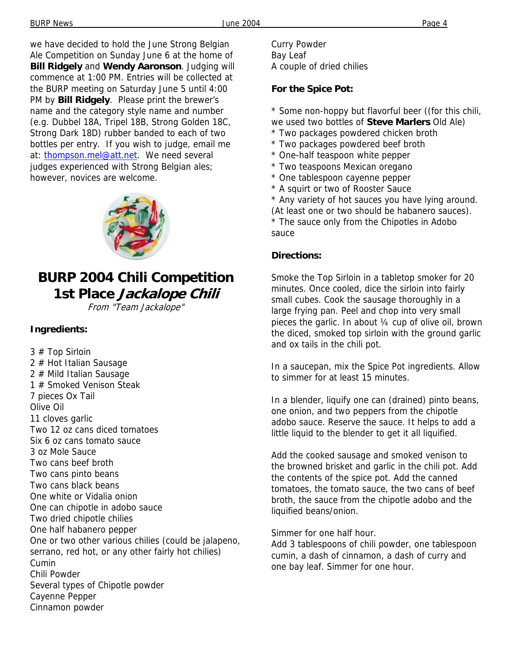we have decided to hold the June Strong Belgian Ale Competition on Sunday June 6 at the home of **Bill Ridgely** and **Wendy Aaronson**. Judging will commence at 1:00 PM. Entries will be collected at the BURP meeting on Saturday June 5 until 4:00 PM by **Bill Ridgely**. Please print the brewer's name and the category style name and number (e.g. Dubbel 18A, Tripel 18B, Strong Golden 18C, Strong Dark 18D) rubber banded to each of two bottles per entry. If you wish to judge, email me at: thompson.mel@att.net. We need several judges experienced with Strong Belgian ales; however, novices are welcome.



## **BURP 2004 Chili Competition 1st Place Jackalope Chili**

From "Team Jackalope"

#### **Ingredients:**

3 # Top Sirloin 2 # Hot Italian Sausage 2 # Mild Italian Sausage 1 # Smoked Venison Steak 7 pieces Ox Tail Olive Oil 11 cloves garlic Two 12 oz cans diced tomatoes Six 6 oz cans tomato sauce 3 oz Mole Sauce Two cans beef broth Two cans pinto beans Two cans black beans One white or Vidalia onion One can chipotle in adobo sauce Two dried chipotle chilies One half habanero pepper One or two other various chilies (could be jalapeno, serrano, red hot, or any other fairly hot chilies) Cumin Chili Powder Several types of Chipotle powder Cayenne Pepper Cinnamon powder

Curry Powder Bay Leaf A couple of dried chilies

#### **For the Spice Pot:**

\* Some non-hoppy but flavorful beer ((for this chili, we used two bottles of **Steve Marlers** Old Ale)

- \* Two packages powdered chicken broth
- \* Two packages powdered beef broth
- \* One-half teaspoon white pepper
- \* Two teaspoons Mexican oregano
- \* One tablespoon cayenne pepper
- \* A squirt or two of Rooster Sauce

\* Any variety of hot sauces you have lying around. (At least one or two should be habanero sauces). \* The sauce only from the Chipotles in Adobo sauce

#### **Directions:**

Smoke the Top Sirloin in a tabletop smoker for 20 minutes. Once cooled, dice the sirloin into fairly small cubes. Cook the sausage thoroughly in a large frying pan. Peel and chop into very small pieces the garlic. In about ¼ cup of olive oil, brown the diced, smoked top sirloin with the ground garlic and ox tails in the chili pot.

In a saucepan, mix the Spice Pot ingredients. Allow to simmer for at least 15 minutes.

In a blender, liquify one can (drained) pinto beans, one onion, and two peppers from the chipotle adobo sauce. Reserve the sauce. It helps to add a little liquid to the blender to get it all liquified.

Add the cooked sausage and smoked venison to the browned brisket and garlic in the chili pot. Add the contents of the spice pot. Add the canned tomatoes, the tomato sauce, the two cans of beef broth, the sauce from the chipotle adobo and the liquified beans/onion.

Simmer for one half hour.

Add 3 tablespoons of chili powder, one tablespoon cumin, a dash of cinnamon, a dash of curry and one bay leaf. Simmer for one hour.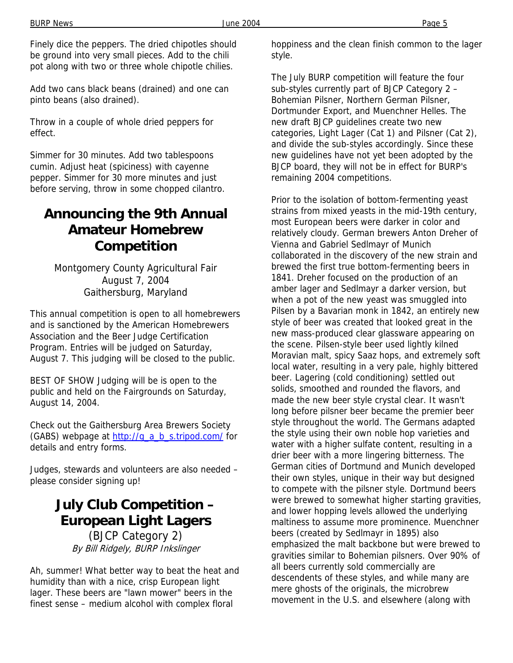Finely dice the peppers. The dried chipotles should be ground into very small pieces. Add to the chili pot along with two or three whole chipotle chilies.

Add two cans black beans (drained) and one can pinto beans (also drained).

Throw in a couple of whole dried peppers for effect.

Simmer for 30 minutes. Add two tablespoons cumin. Adjust heat (spiciness) with cayenne pepper. Simmer for 30 more minutes and just before serving, throw in some chopped cilantro.

### **Announcing the 9th Annual Amateur Homebrew Competition**

Montgomery County Agricultural Fair August 7, 2004 Gaithersburg, Maryland

This annual competition is open to all homebrewers and is sanctioned by the American Homebrewers Association and the Beer Judge Certification Program. Entries will be judged on Saturday, August 7. This judging will be closed to the public.

BEST OF SHOW Judging will be is open to the public and held on the Fairgrounds on Saturday, August 14, 2004.

Check out the Gaithersburg Area Brewers Society (GABS) webpage at http://g\_a\_b\_s.tripod.com/ for details and entry forms.

Judges, stewards and volunteers are also needed – please consider signing up!

## **July Club Competition – European Light Lagers**

(BJCP Category 2) By Bill Ridgely, BURP Inkslinger

Ah, summer! What better way to beat the heat and humidity than with a nice, crisp European light lager. These beers are "lawn mower" beers in the finest sense – medium alcohol with complex floral

hoppiness and the clean finish common to the lager style.

The July BURP competition will feature the four sub-styles currently part of BJCP Category 2 – Bohemian Pilsner, Northern German Pilsner, Dortmunder Export, and Muenchner Helles. The new draft BJCP guidelines create two new categories, Light Lager (Cat 1) and Pilsner (Cat 2), and divide the sub-styles accordingly. Since these new guidelines have not yet been adopted by the BJCP board, they will not be in effect for BURP's remaining 2004 competitions.

Prior to the isolation of bottom-fermenting yeast strains from mixed yeasts in the mid-19th century, most European beers were darker in color and relatively cloudy. German brewers Anton Dreher of Vienna and Gabriel Sedlmayr of Munich collaborated in the discovery of the new strain and brewed the first true bottom-fermenting beers in 1841. Dreher focused on the production of an amber lager and Sedlmayr a darker version, but when a pot of the new yeast was smuggled into Pilsen by a Bavarian monk in 1842, an entirely new style of beer was created that looked great in the new mass-produced clear glassware appearing on the scene. Pilsen-style beer used lightly kilned Moravian malt, spicy Saaz hops, and extremely soft local water, resulting in a very pale, highly bittered beer. Lagering (cold conditioning) settled out solids, smoothed and rounded the flavors, and made the new beer style crystal clear. It wasn't long before pilsner beer became the premier beer style throughout the world. The Germans adapted the style using their own noble hop varieties and water with a higher sulfate content, resulting in a drier beer with a more lingering bitterness. The German cities of Dortmund and Munich developed their own styles, unique in their way but designed to compete with the pilsner style. Dortmund beers were brewed to somewhat higher starting gravities, and lower hopping levels allowed the underlying maltiness to assume more prominence. Muenchner beers (created by Sedlmayr in 1895) also emphasized the malt backbone but were brewed to gravities similar to Bohemian pilsners. Over 90% of all beers currently sold commercially are descendents of these styles, and while many are mere ghosts of the originals, the microbrew movement in the U.S. and elsewhere (along with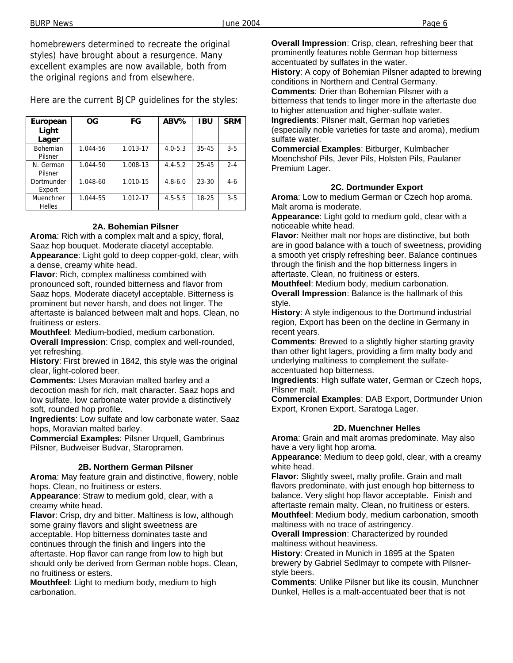homebrewers determined to recreate the original styles) have brought about a resurgence. Many excellent examples are now available, both from the original regions and from elsewhere.

Here are the current BJCP guidelines for the styles:

| European<br>Light<br>Lager | <b>OG</b> | FG       | ABV%        | <b>IBU</b> | <b>SRM</b> |
|----------------------------|-----------|----------|-------------|------------|------------|
| <b>Bohemian</b><br>Pilsner | 1.044-56  | 1.013-17 | $4.0 - 5.3$ | $35 - 45$  | $3-5$      |
| N. German<br>Pilsner       | 1.044-50  | 1.008-13 | $4.4 - 5.2$ | $25 - 45$  | $2 - 4$    |
| Dortmunder<br>Export       | 1.048-60  | 1.010-15 | $4.8 - 6.0$ | 23-30      | $4-6$      |
| Muenchner<br><b>Helles</b> | 1.044-55  | 1.012-17 | $4.5 - 5.5$ | 18-25      | $3 - 5$    |

#### **2A. Bohemian Pilsner**

**Aroma**: Rich with a complex malt and a spicy, floral, Saaz hop bouquet. Moderate diacetyl acceptable. **Appearance**: Light gold to deep copper-gold, clear, with a dense, creamy white head.

**Flavor**: Rich, complex maltiness combined with pronounced soft, rounded bitterness and flavor from Saaz hops. Moderate diacetyl acceptable. Bitterness is prominent but never harsh, and does not linger. The aftertaste is balanced between malt and hops. Clean, no fruitiness or esters.

**Mouthfeel**: Medium-bodied, medium carbonation. **Overall Impression**: Crisp, complex and well-rounded, yet refreshing.

**History**: First brewed in 1842, this style was the original clear, light-colored beer.

**Comments**: Uses Moravian malted barley and a decoction mash for rich, malt character. Saaz hops and low sulfate, low carbonate water provide a distinctively soft, rounded hop profile.

**Ingredients**: Low sulfate and low carbonate water, Saaz hops, Moravian malted barley.

**Commercial Examples**: Pilsner Urquell, Gambrinus Pilsner, Budweiser Budvar, Staropramen.

#### **2B. Northern German Pilsner**

**Aroma**: May feature grain and distinctive, flowery, noble hops. Clean, no fruitiness or esters.

**Appearance**: Straw to medium gold, clear, with a creamy white head.

**Flavor**: Crisp, dry and bitter. Maltiness is low, although some grainy flavors and slight sweetness are acceptable. Hop bitterness dominates taste and continues through the finish and lingers into the aftertaste. Hop flavor can range from low to high but should only be derived from German noble hops. Clean, no fruitiness or esters.

**Mouthfeel**: Light to medium body, medium to high carbonation.

**Overall Impression**: Crisp, clean, refreshing beer that prominently features noble German hop bitterness accentuated by sulfates in the water. **History**: A copy of Bohemian Pilsner adapted to brewing

conditions in Northern and Central Germany. **Comments**: Drier than Bohemian Pilsner with a bitterness that tends to linger more in the aftertaste due to higher attenuation and higher-sulfate water. **Ingredients**: Pilsner malt, German hop varieties (especially noble varieties for taste and aroma), medium sulfate water.

**Commercial Examples**: Bitburger, Kulmbacher Moenchshof Pils, Jever Pils, Holsten Pils, Paulaner Premium Lager.

#### **2C. Dortmunder Export**

**Aroma**: Low to medium German or Czech hop aroma. Malt aroma is moderate.

**Appearance**: Light gold to medium gold, clear with a noticeable white head.

**Flavor**: Neither malt nor hops are distinctive, but both are in good balance with a touch of sweetness, providing a smooth yet crisply refreshing beer. Balance continues through the finish and the hop bitterness lingers in aftertaste. Clean, no fruitiness or esters.

**Mouthfeel**: Medium body, medium carbonation.

**Overall Impression**: Balance is the hallmark of this style.

**History**: A style indigenous to the Dortmund industrial region, Export has been on the decline in Germany in recent years.

**Comments**: Brewed to a slightly higher starting gravity than other light lagers, providing a firm malty body and underlying maltiness to complement the sulfateaccentuated hop bitterness.

**Ingredients**: High sulfate water, German or Czech hops, Pilsner malt.

**Commercial Examples**: DAB Export, Dortmunder Union Export, Kronen Export, Saratoga Lager.

#### **2D. Muenchner Helles**

**Aroma**: Grain and malt aromas predominate. May also have a very light hop aroma.

**Appearance**: Medium to deep gold, clear, with a creamy white head.

**Flavor**: Slightly sweet, malty profile. Grain and malt flavors predominate, with just enough hop bitterness to balance. Very slight hop flavor acceptable. Finish and aftertaste remain malty. Clean, no fruitiness or esters.

**Mouthfeel**: Medium body, medium carbonation, smooth maltiness with no trace of astringency.

**Overall Impression**: Characterized by rounded maltiness without heaviness.

**History**: Created in Munich in 1895 at the Spaten brewery by Gabriel Sedlmayr to compete with Pilsnerstyle beers.

**Comments**: Unlike Pilsner but like its cousin, Munchner Dunkel, Helles is a malt-accentuated beer that is not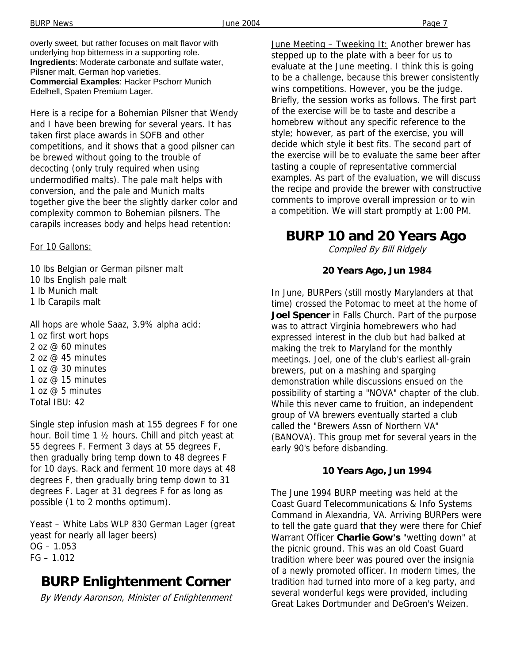Here is a recipe for a Bohemian Pilsner that Wendy and I have been brewing for several years. It has taken first place awards in SOFB and other competitions, and it shows that a good pilsner can be brewed without going to the trouble of decocting (only truly required when using undermodified malts). The pale malt helps with conversion, and the pale and Munich malts together give the beer the slightly darker color and complexity common to Bohemian pilsners. The carapils increases body and helps head retention:

#### For 10 Gallons:

10 lbs Belgian or German pilsner malt 10 lbs English pale malt 1 lb Munich malt 1 lb Carapils malt

All hops are whole Saaz, 3.9% alpha acid: 1 oz first wort hops 2 oz @ 60 minutes 2 oz  $\omega$  45 minutes 1 oz @ 30 minutes 1 oz  $@$  15 minutes 1 oz @ 5 minutes Total IBU: 42

Single step infusion mash at 155 degrees F for one hour. Boil time 1 ½ hours. Chill and pitch yeast at 55 degrees F. Ferment 3 days at 55 degrees F, then gradually bring temp down to 48 degrees F for 10 days. Rack and ferment 10 more days at 48 degrees F, then gradually bring temp down to 31 degrees F. Lager at 31 degrees F for as long as possible (1 to 2 months optimum).

Yeast – White Labs WLP 830 German Lager (great yeast for nearly all lager beers)  $OG - 1.053$  $FG - 1.012$ 

### **BURP Enlightenment Corner**

By Wendy Aaronson, Minister of Enlightenment

June Meeting – Tweeking It: Another brewer has stepped up to the plate with a beer for us to evaluate at the June meeting. I think this is going to be a challenge, because this brewer consistently wins competitions. However, you be the judge. Briefly, the session works as follows. The first part of the exercise will be to taste and describe a homebrew without any specific reference to the style; however, as part of the exercise, you will decide which style it best fits. The second part of the exercise will be to evaluate the same beer after tasting a couple of representative commercial examples. As part of the evaluation, we will discuss the recipe and provide the brewer with constructive comments to improve overall impression or to win a competition. We will start promptly at 1:00 PM.

## **BURP 10 and 20 Years Ago**

Compiled By Bill Ridgely

#### **20 Years Ago, Jun 1984**

In June, BURPers (still mostly Marylanders at that time) crossed the Potomac to meet at the home of **Joel Spencer** in Falls Church. Part of the purpose was to attract Virginia homebrewers who had expressed interest in the club but had balked at making the trek to Maryland for the monthly meetings. Joel, one of the club's earliest all-grain brewers, put on a mashing and sparging demonstration while discussions ensued on the possibility of starting a "NOVA" chapter of the club. While this never came to fruition, an independent group of VA brewers eventually started a club called the "Brewers Assn of Northern VA" (BANOVA). This group met for several years in the early 90's before disbanding.

#### **10 Years Ago, Jun 1994**

The June 1994 BURP meeting was held at the Coast Guard Telecommunications & Info Systems Command in Alexandria, VA. Arriving BURPers were to tell the gate guard that they were there for Chief Warrant Officer **Charlie Gow's** "wetting down" at the picnic ground. This was an old Coast Guard tradition where beer was poured over the insignia of a newly promoted officer. In modern times, the tradition had turned into more of a keg party, and several wonderful kegs were provided, including Great Lakes Dortmunder and DeGroen's Weizen.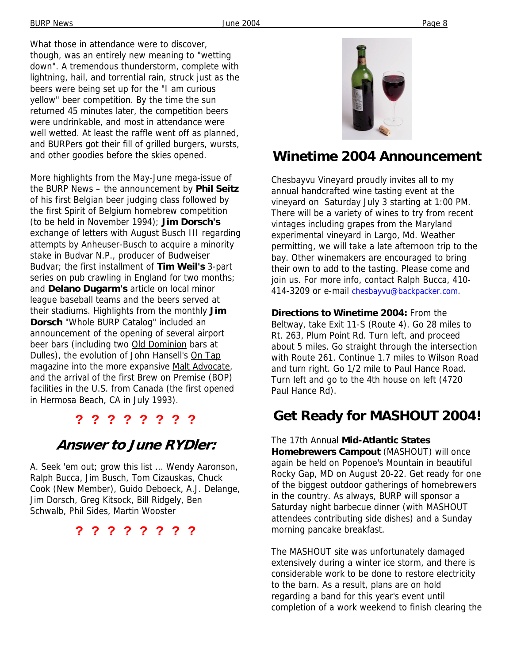What those in attendance were to discover, though, was an entirely new meaning to "wetting down". A tremendous thunderstorm, complete with lightning, hail, and torrential rain, struck just as the beers were being set up for the "I am curious yellow" beer competition. By the time the sun returned 45 minutes later, the competition beers were undrinkable, and most in attendance were well wetted. At least the raffle went off as planned, and BURPers got their fill of grilled burgers, wursts, and other goodies before the skies opened.

More highlights from the May-June mega-issue of the BURP News – the announcement by **Phil Seitz** of his first Belgian beer judging class followed by the first Spirit of Belgium homebrew competition (to be held in November 1994); **Jim Dorsch's** exchange of letters with August Busch III regarding attempts by Anheuser-Busch to acquire a minority stake in Budvar N.P., producer of Budweiser Budvar; the first installment of **Tim Weil's** 3-part series on pub crawling in England for two months; and **Delano Dugarm's** article on local minor league baseball teams and the beers served at their stadiums. Highlights from the monthly **Jim Dorsch** "Whole BURP Catalog" included an announcement of the opening of several airport beer bars (including two Old Dominion bars at Dulles), the evolution of John Hansell's On Tap magazine into the more expansive Malt Advocate, and the arrival of the first Brew on Premise (BOP) facilities in the U.S. from Canada (the first opened in Hermosa Beach, CA in July 1993).

### **? ? ? ? ? ? ? ?**

### **Answer to June RYDler:**

A. Seek 'em out; grow this list ... Wendy Aaronson, Ralph Bucca, Jim Busch, Tom Cizauskas, Chuck Cook (New Member), Guido Deboeck, A.J. Delange, Jim Dorsch, Greg Kitsock, Bill Ridgely, Ben Schwalb, Phil Sides, Martin Wooster

**? ? ? ? ? ? ? ?** 



### **Winetime 2004 Announcement**

Chesbayvu Vineyard proudly invites all to my annual handcrafted wine tasting event at the vineyard on Saturday July 3 starting at 1:00 PM. There will be a variety of wines to try from recent vintages including grapes from the Maryland experimental vineyard in Largo, Md. Weather permitting, we will take a late afternoon trip to the bay. Other winemakers are encouraged to bring their own to add to the tasting. Please come and join us. For more info, contact Ralph Bucca, 410- 414-3209 or e-mail chesbayvu@backpacker.com.

**Directions to Winetime 2004:** From the Beltway, take Exit 11-S (Route 4). Go 28 miles to Rt. 263, Plum Point Rd. Turn left, and proceed about 5 miles. Go straight through the intersection with Route 261. Continue 1.7 miles to Wilson Road and turn right. Go 1/2 mile to Paul Hance Road. Turn left and go to the 4th house on left (4720 Paul Hance Rd).

## **Get Ready for MASHOUT 2004!**

The 17th Annual **Mid-Atlantic States Homebrewers Campout** (MASHOUT) will once again be held on Popenoe's Mountain in beautiful Rocky Gap, MD on August 20-22. Get ready for one of the biggest outdoor gatherings of homebrewers in the country. As always, BURP will sponsor a Saturday night barbecue dinner (with MASHOUT attendees contributing side dishes) and a Sunday morning pancake breakfast.

The MASHOUT site was unfortunately damaged extensively during a winter ice storm, and there is considerable work to be done to restore electricity to the barn. As a result, plans are on hold regarding a band for this year's event until completion of a work weekend to finish clearing the